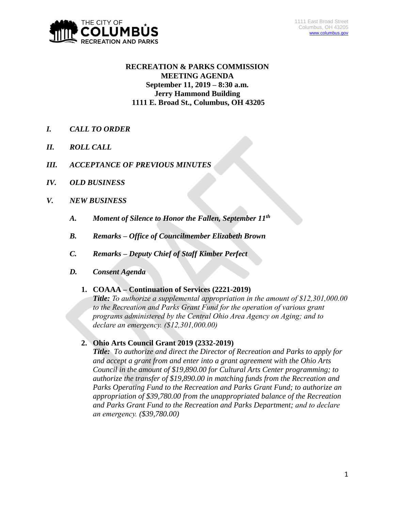

# **RECREATION & PARKS COMMISSION MEETING AGENDA September 11, 2019 – 8:30 a.m. Jerry Hammond Building 1111 E. Broad St., Columbus, OH 43205**

- *I. CALL TO ORDER*
- *II. ROLL CALL*
- *III. ACCEPTANCE OF PREVIOUS MINUTES*
- *IV. OLD BUSINESS*
- *V. NEW BUSINESS*
	- *A. Moment of Silence to Honor the Fallen, September 11th*
	- *B. Remarks – Office of Councilmember Elizabeth Brown*
	- *C. Remarks – Deputy Chief of Staff Kimber Perfect*
	- *D. Consent Agenda*

#### **1. COAAA – Continuation of Services (2221-2019)**

*Title: To authorize a supplemental appropriation in the amount of \$12,301,000.00 to the Recreation and Parks Grant Fund for the operation of various grant programs administered by the Central Ohio Area Agency on Aging; and to declare an emergency. (\$12,301,000.00)*

# **2. Ohio Arts Council Grant 2019 (2332-2019)**

*Title: To authorize and direct the Director of Recreation and Parks to apply for and accept a grant from and enter into a grant agreement with the Ohio Arts Council in the amount of \$19,890.00 for Cultural Arts Center programming; to authorize the transfer of \$19,890.00 in matching funds from the Recreation and Parks Operating Fund to the Recreation and Parks Grant Fund; to authorize an appropriation of \$39,780.00 from the unappropriated balance of the Recreation and Parks Grant Fund to the Recreation and Parks Department; and to declare an emergency. (\$39,780.00)*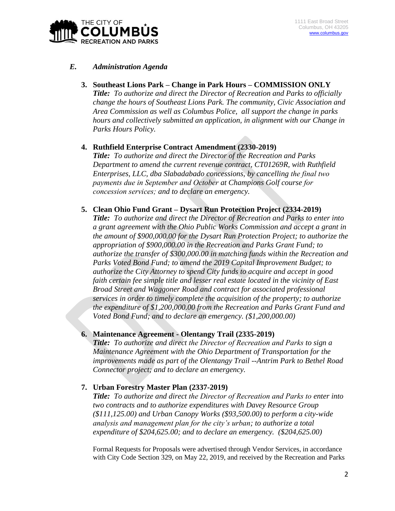

# *E. Administration Agenda*

- **3. Southeast Lions Park – Change in Park Hours – COMMISSION ONLY** *Title: To authorize and direct the Director of Recreation and Parks to officially change the hours of Southeast Lions Park. The community, Civic Association and Area Commission as well as Columbus Police, all support the change in parks hours and collectively submitted an application, in alignment with our Change in Parks Hours Policy.*
- **4. Ruthfield Enterprise Contract Amendment (2330-2019)**

*Title: To authorize and direct the Director of the Recreation and Parks Department to amend the current revenue contract, CT01269R, with Ruthfield Enterprises, LLC, dba Slabadabado concessions, by cancelling the final two payments due in September and October at Champions Golf course for concession services; and to declare an emergency.*

**5. Clean Ohio Fund Grant – Dysart Run Protection Project (2334-2019)**

*Title: To authorize and direct the Director of Recreation and Parks to enter into a grant agreement with the Ohio Public Works Commission and accept a grant in the amount of \$900,000.00 for the Dysart Run Protection Project; to authorize the appropriation of \$900,000.00 in the Recreation and Parks Grant Fund; to authorize the transfer of \$300,000.00 in matching funds within the Recreation and Parks Voted Bond Fund; to amend the 2019 Capital Improvement Budget; to authorize the City Attorney to spend City funds to acquire and accept in good faith certain fee simple title and lesser real estate located in the vicinity of East Broad Street and Waggoner Road and contract for associated professional services in order to timely complete the acquisition of the property; to authorize the expenditure of \$1,200,000.00 from the Recreation and Parks Grant Fund and Voted Bond Fund; and to declare an emergency. (\$1,200,000.00)*

#### **6. Maintenance Agreement - Olentangy Trail (2335-2019)**

*Title: To authorize and direct the Director of Recreation and Parks to sign a Maintenance Agreement with the Ohio Department of Transportation for the improvements made as part of the Olentangy Trail --Antrim Park to Bethel Road Connector project; and to declare an emergency.*

# **7. Urban Forestry Master Plan (2337-2019)**

*Title: To authorize and direct the Director of Recreation and Parks to enter into two contracts and to authorize expenditures with Davey Resource Group (\$111,125.00) and Urban Canopy Works (\$93,500.00) to perform a city-wide analysis and management plan for the city's urban; to authorize a total expenditure of \$204,625.00; and to declare an emergency. (\$204,625.00)*

Formal Requests for Proposals were advertised through Vendor Services, in accordance with City Code Section 329, on May 22, 2019, and received by the Recreation and Parks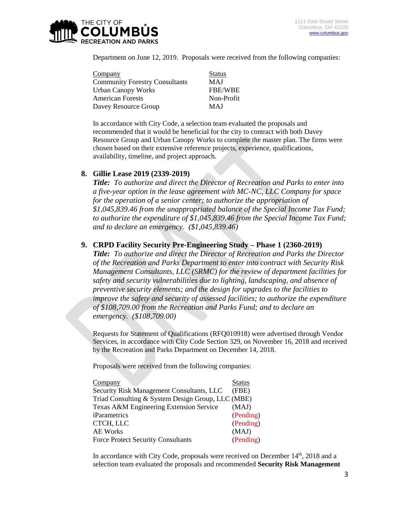

Department on June 12, 2019. Proposals were received from the following companies:

| <b>Status</b>  |
|----------------|
| <b>MAJ</b>     |
| <b>FBE/WBE</b> |
| Non-Profit     |
| <b>MAJ</b>     |
|                |

In accordance with City Code, a selection team evaluated the proposals and recommended that it would be beneficial for the city to contract with both Davey Resource Group and Urban Canopy Works to complete the master plan. The firms were chosen based on their extensive reference projects, experience, qualifications, availability, timeline, and project approach.

### **8. Gillie Lease 2019 (2339-2019)**

*Title: To authorize and direct the Director of Recreation and Parks to enter into a five-year option in the lease agreement with MC-NC, LLC Company for space for the operation of a senior center; to authorize the appropriation of \$1,045,839.46 from the unappropriated balance of the Special Income Tax Fund; to authorize the expenditure of \$1,045,839.46 from the Special Income Tax Fund; and to declare an emergency. (\$1,045,839.46)*

#### **9. CRPD Facility Security Pre-Engineering Study – Phase 1 (2360-2019)**

*Title: To authorize and direct the Director of Recreation and Parks the Director of the Recreation and Parks Department to enter into contract with Security Risk Management Consultants, LLC (SRMC) for the review of department facilities for safety and security vulnerabilities due to lighting, landscaping, and absence of preventive security elements; and the design for upgrades to the facilities to improve the safety and security of assessed facilities; to authorize the expenditure of \$108,709.00 from the Recreation and Parks Fund; and to declare an emergency. (\$108,709.00)*

Requests for Statement of Qualifications (RFQ010918) were advertised through Vendor Services, in accordance with City Code Section 329, on November 16, 2018 and received by the Recreation and Parks Department on December 14, 2018.

Proposals were received from the following companies:

| Company                                           | <b>Status</b> |
|---------------------------------------------------|---------------|
| <b>Security Risk Management Consultants, LLC</b>  | (FBE)         |
| Triad Consulting & System Design Group, LLC (MBE) |               |
| Texas A&M Engineering Extension Service           | (MAJ)         |
| <i>iParametrics</i>                               | (Pending)     |
| CTCH, LLC                                         | (Pending)     |
| <b>AE Works</b>                                   | (MAJ)         |
| <b>Force Protect Security Consultants</b>         | (Pending)     |
|                                                   |               |

In accordance with City Code, proposals were received on December  $14<sup>th</sup>$ , 2018 and a selection team evaluated the proposals and recommended **Security Risk Management**